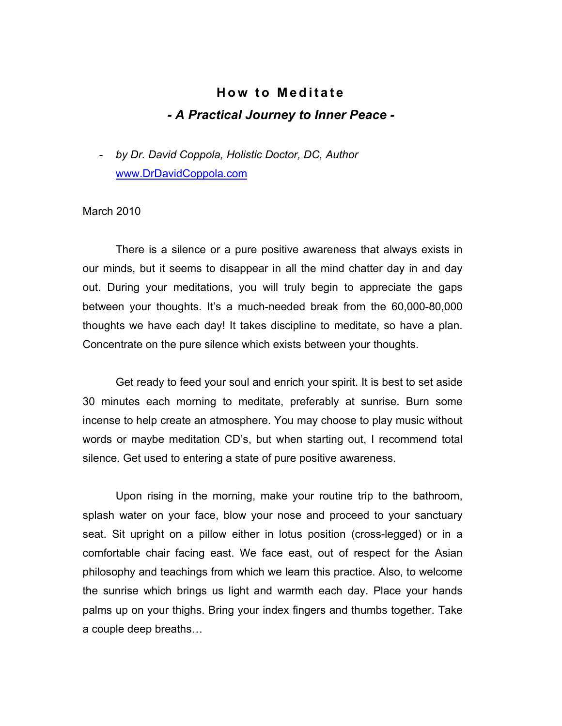## **How to Meditate** *- A Practical Journey to Inner Peace -*

- *by Dr. David Coppola, Holistic Doctor, DC, Author* www.DrDavidCoppola.com

## March 2010

There is a silence or a pure positive awareness that always exists in our minds, but it seems to disappear in all the mind chatter day in and day out. During your meditations, you will truly begin to appreciate the gaps between your thoughts. It's a much-needed break from the 60,000-80,000 thoughts we have each day! It takes discipline to meditate, so have a plan. Concentrate on the pure silence which exists between your thoughts.

Get ready to feed your soul and enrich your spirit. It is best to set aside 30 minutes each morning to meditate, preferably at sunrise. Burn some incense to help create an atmosphere. You may choose to play music without words or maybe meditation CD's, but when starting out, I recommend total silence. Get used to entering a state of pure positive awareness.

Upon rising in the morning, make your routine trip to the bathroom, splash water on your face, blow your nose and proceed to your sanctuary seat. Sit upright on a pillow either in lotus position (cross-legged) or in a comfortable chair facing east. We face east, out of respect for the Asian philosophy and teachings from which we learn this practice. Also, to welcome the sunrise which brings us light and warmth each day. Place your hands palms up on your thighs. Bring your index fingers and thumbs together. Take a couple deep breaths…